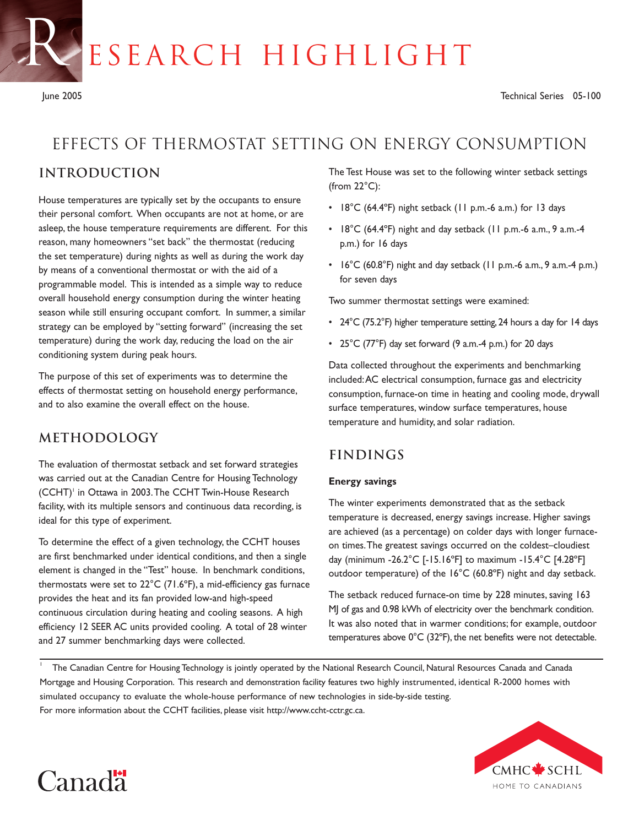ESEARCH HIGHLIGHT

R

# Effects of thermostat setting on energy consumption

# **introduction**

House temperatures are typically set by the occupants to ensure their personal comfort. When occupants are not at home, or are asleep, the house temperature requirements are different. For this reason, many homeowners "set back" the thermostat (reducing the set temperature) during nights as well as during the work day by means of a conventional thermostat or with the aid of a programmable model. This is intended as a simple way to reduce overall household energy consumption during the winter heating season while still ensuring occupant comfort. In summer, a similar strategy can be employed by "setting forward" (increasing the set temperature) during the work day, reducing the load on the air conditioning system during peak hours.

The purpose of this set of experiments was to determine the effects of thermostat setting on household energy performance, and to also examine the overall effect on the house.

# **Methodology**

The evaluation of thermostat setback and set forward strategies was carried out at the Canadian Centre for Housing Technology (CCHT)<sup>1</sup> in Ottawa in 2003. The CCHT Twin-House Research facility, with its multiple sensors and continuous data recording, is ideal for this type of experiment.

To determine the effect of a given technology, the CCHT houses are first benchmarked under identical conditions, and then a single element is changed in the "Test" house. In benchmark conditions, thermostats were set to 22°C (71.6ºF), a mid-efficiency gas furnace provides the heat and its fan provided low-and high-speed continuous circulation during heating and cooling seasons. A high efficiency 12 SEER AC units provided cooling. A total of 28 winter and 27 summer benchmarking days were collected.

The Test House was set to the following winter setback settings (from  $22^{\circ}$ C):

- 18°C (64.4ºF) night setback (11 p.m.-6 a.m.) for 13 days
- 18°C (64.4ºF) night and day setback (11 p.m.-6 a.m., 9 a.m.-4 p.m.) for 16 days
- 16°C (60.8°F) night and day setback (11 p.m.-6 a.m., 9 a.m.-4 p.m.) for seven days

Two summer thermostat settings were examined:

- 24°C (75.2°F) higher temperature setting, 24 hours a day for 14 days
- 25°C (77°F) day set forward (9 a.m.-4 p.m.) for 20 days

Data collected throughout the experiments and benchmarking included:AC electrical consumption, furnace gas and electricity consumption, furnace-on time in heating and cooling mode, drywall surface temperatures, window surface temperatures, house temperature and humidity, and solar radiation.

# **Findings**

#### **Energy savings**

The winter experiments demonstrated that as the setback temperature is decreased, energy savings increase. Higher savings are achieved (as a percentage) on colder days with longer furnaceon times.The greatest savings occurred on the coldest–cloudiest day (minimum -26.2°C [-15.16ºF] to maximum -15.4°C [4.28ºF] outdoor temperature) of the 16°C (60.8ºF) night and day setback.

The setback reduced furnace-on time by 228 minutes, saving 163 MJ of gas and 0.98 kWh of electricity over the benchmark condition. It was also noted that in warmer conditions; for example, outdoor temperatures above 0°C (32ºF), the net benefits were not detectable.

<sup>1</sup> The Canadian Centre for Housing Technology is jointly operated by the National Research Council, Natural Resources Canada and Canada Mortgage and Housing Corporation. This research and demonstration facility features two highly instrumented, identical R-2000 homes with simulated occupancy to evaluate the whole-house performance of new technologies in side-by-side testing. For more information about the CCHT facilities, please visit http://www.ccht-cctr.gc.ca.



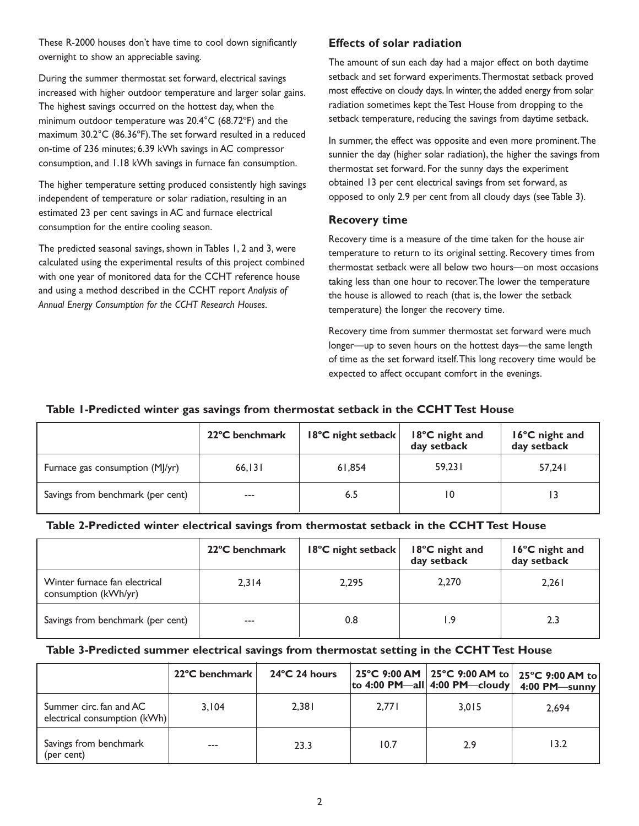These R-2000 houses don't have time to cool down significantly overnight to show an appreciable saving.

During the summer thermostat set forward, electrical savings increased with higher outdoor temperature and larger solar gains. The highest savings occurred on the hottest day, when the minimum outdoor temperature was 20.4°C (68.72ºF) and the maximum 30.2°C (86.36ºF).The set forward resulted in a reduced on-time of 236 minutes; 6.39 kWh savings in AC compressor consumption, and 1.18 kWh savings in furnace fan consumption.

The higher temperature setting produced consistently high savings independent of temperature or solar radiation, resulting in an estimated 23 per cent savings in AC and furnace electrical consumption for the entire cooling season.

The predicted seasonal savings, shown in Tables 1, 2 and 3, were calculated using the experimental results of this project combined with one year of monitored data for the CCHT reference house and using a method described in the CCHT report *Analysis of Annual Energy Consumption for the CCHT Research Houses.*

# **Effects of solar radiation**

The amount of sun each day had a major effect on both daytime setback and set forward experiments.Thermostat setback proved most effective on cloudy days. In winter, the added energy from solar radiation sometimes kept the Test House from dropping to the setback temperature, reducing the savings from daytime setback.

In summer, the effect was opposite and even more prominent. The sunnier the day (higher solar radiation), the higher the savings from thermostat set forward. For the sunny days the experiment obtained 13 per cent electrical savings from set forward, as opposed to only 2.9 per cent from all cloudy days (see Table 3).

### **Recovery time**

Recovery time is a measure of the time taken for the house air temperature to return to its original setting. Recovery times from thermostat setback were all below two hours—on most occasions taking less than one hour to recover.The lower the temperature the house is allowed to reach (that is, the lower the setback temperature) the longer the recovery time.

Recovery time from summer thermostat set forward were much longer—up to seven hours on the hottest days—the same length of time as the set forward itself.This long recovery time would be expected to affect occupant comfort in the evenings.

### **Table 1-Predicted winter gas savings from thermostat setback in the CCHT Test House**

|                                   | 22°C benchmark | 18°C night setback | 18°C night and<br>day setback | 16°C night and<br>day setback |
|-----------------------------------|----------------|--------------------|-------------------------------|-------------------------------|
| Furnace gas consumption (MJ/yr)   | 66, 131        | 61.854             | 59.231                        | 57.241                        |
| Savings from benchmark (per cent) | $---$          | 6.5                |                               |                               |

### **Table 2-Predicted winter electrical savings from thermostat setback in the CCHT Test House**

|                                                       | 22°C benchmark | 18°C night setback | 18°C night and<br>day setback | 16°C night and<br>day setback |
|-------------------------------------------------------|----------------|--------------------|-------------------------------|-------------------------------|
| Winter furnace fan electrical<br>consumption (kWh/yr) | 2.314          | 2.295              | 2,270                         | 2,261                         |
| Savings from benchmark (per cent)                     | $---$          | 0.8                | I.9                           | 2.3                           |

#### **Table 3-Predicted summer electrical savings from thermostat setting in the CCHT Test House**

|                                                         | 22°C benchmark | $24^{\circ}$ C 24 hours |       | to 4:00 PM—all $ 4:00$ PM—cloudy | 25°C 9:00 AM   25°C 9:00 AM to   25°C 9:00 AM to  <br>4:00 PM-sunny |
|---------------------------------------------------------|----------------|-------------------------|-------|----------------------------------|---------------------------------------------------------------------|
| Summer circ, fan and AC<br>electrical consumption (kWh) | 3.104          | 2,381                   | 2.771 | 3.015                            | 2.694                                                               |
| Savings from benchmark<br>(per cent)                    | $---$          | 23.3                    | 10.7  | 2.9                              | 13.2                                                                |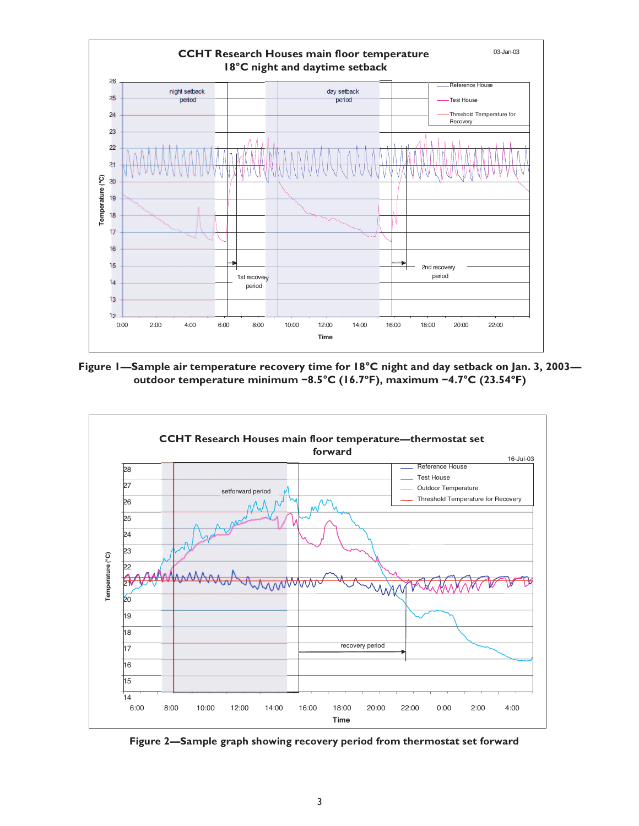

**Figure 1—Sample air temperature recovery time for 18°C night and day setback on Jan. 3, 2003 outdoor temperature minimum −8.5°C (16.7ºF), maximum −4.7°C (23.54ºF)** 



**Figure 2—Sample graph showing recovery period from thermostat set forward**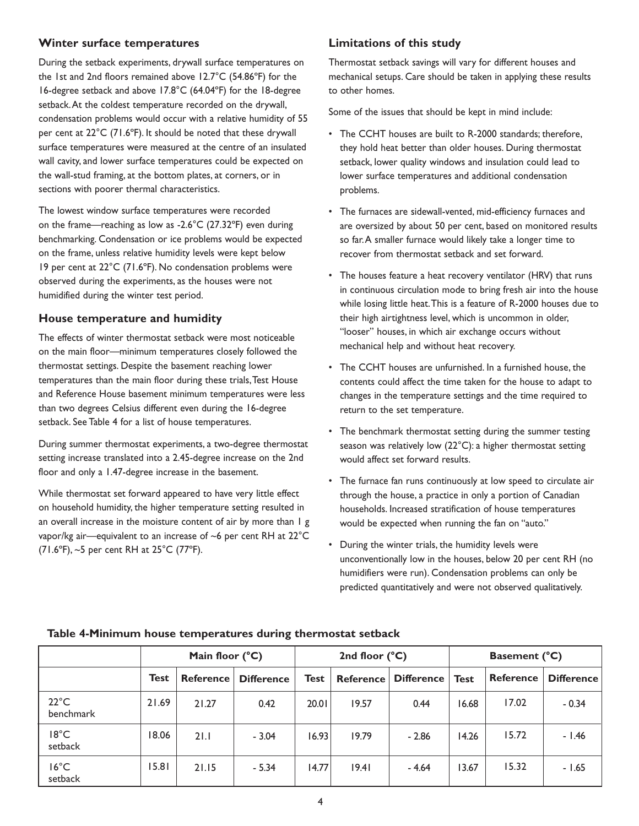### **Winter surface temperatures**

During the setback experiments, drywall surface temperatures on the 1st and 2nd floors remained above 12.7°C (54.86ºF) for the 16-degree setback and above 17.8°C (64.04ºF) for the 18-degree setback.At the coldest temperature recorded on the drywall, condensation problems would occur with a relative humidity of 55 per cent at 22°C (71.6ºF). It should be noted that these drywall surface temperatures were measured at the centre of an insulated wall cavity, and lower surface temperatures could be expected on the wall-stud framing, at the bottom plates, at corners, or in sections with poorer thermal characteristics.

The lowest window surface temperatures were recorded on the frame—reaching as low as -2.6°C (27.32°F) even during benchmarking. Condensation or ice problems would be expected on the frame, unless relative humidity levels were kept below 19 per cent at 22°C (71.6ºF). No condensation problems were observed during the experiments, as the houses were not humidified during the winter test period.

## **House temperature and humidity**

The effects of winter thermostat setback were most noticeable on the main floor—minimum temperatures closely followed the thermostat settings. Despite the basement reaching lower temperatures than the main floor during these trials,Test House and Reference House basement minimum temperatures were less than two degrees Celsius different even during the 16-degree setback. See Table 4 for a list of house temperatures.

During summer thermostat experiments, a two-degree thermostat setting increase translated into a 2.45-degree increase on the 2nd floor and only a 1.47-degree increase in the basement.

While thermostat set forward appeared to have very little effect on household humidity, the higher temperature setting resulted in an overall increase in the moisture content of air by more than 1 g vapor/kg air—equivalent to an increase of  $\sim$ 6 per cent RH at 22 $^{\circ}$ C (71.6ºF), ~5 per cent RH at 25°C (77ºF).

# **Limitations of this study**

Thermostat setback savings will vary for different houses and mechanical setups. Care should be taken in applying these results to other homes.

Some of the issues that should be kept in mind include:

- The CCHT houses are built to R-2000 standards; therefore, they hold heat better than older houses. During thermostat setback, lower quality windows and insulation could lead to lower surface temperatures and additional condensation problems.
- The furnaces are sidewall-vented, mid-efficiency furnaces and are oversized by about 50 per cent, based on monitored results so far.A smaller furnace would likely take a longer time to recover from thermostat setback and set forward.
- The houses feature a heat recovery ventilator (HRV) that runs in continuous circulation mode to bring fresh air into the house while losing little heat.This is a feature of R-2000 houses due to their high airtightness level, which is uncommon in older, "looser" houses, in which air exchange occurs without mechanical help and without heat recovery.
- The CCHT houses are unfurnished. In a furnished house, the contents could affect the time taken for the house to adapt to changes in the temperature settings and the time required to return to the set temperature.
- The benchmark thermostat setting during the summer testing season was relatively low (22°C): a higher thermostat setting would affect set forward results.
- The furnace fan runs continuously at low speed to circulate air through the house, a practice in only a portion of Canadian households. Increased stratification of house temperatures would be expected when running the fan on "auto."
- During the winter trials, the humidity levels were unconventionally low in the houses, below 20 per cent RH (no humidifiers were run). Condensation problems can only be predicted quantitatively and were not observed qualitatively.

|                             | Main floor (°C) |                  |                   | 2nd floor $(^{\circ}C)$ |                  |                   | <b>Basement (°C)</b> |                  |                   |
|-----------------------------|-----------------|------------------|-------------------|-------------------------|------------------|-------------------|----------------------|------------------|-------------------|
|                             | <b>Test</b>     | <b>Reference</b> | <b>Difference</b> | <b>Test</b>             | <b>Reference</b> | <b>Difference</b> | <b>Test</b>          | <b>Reference</b> | <b>Difference</b> |
| $22^{\circ}$ C<br>benchmark | 21.69           | 21.27            | 0.42              | 20.01                   | 19.57            | 0.44              | 16.68                | 17.02            | $-0.34$           |
| 18°C<br>setback             | 18.06           | 21.1             | $-3.04$           | 16.93                   | 19.79            | $-2.86$           | 14.26                | 15.72            | $-1.46$           |
| $16^{\circ}$ C<br>setback   | 15.81           | 21.15            | $-5.34$           | 14.77                   | 19.41            | $-4.64$           | 13.67                | 15.32            | $-1.65$           |

### **Table 4-Minimum house temperatures during thermostat setback**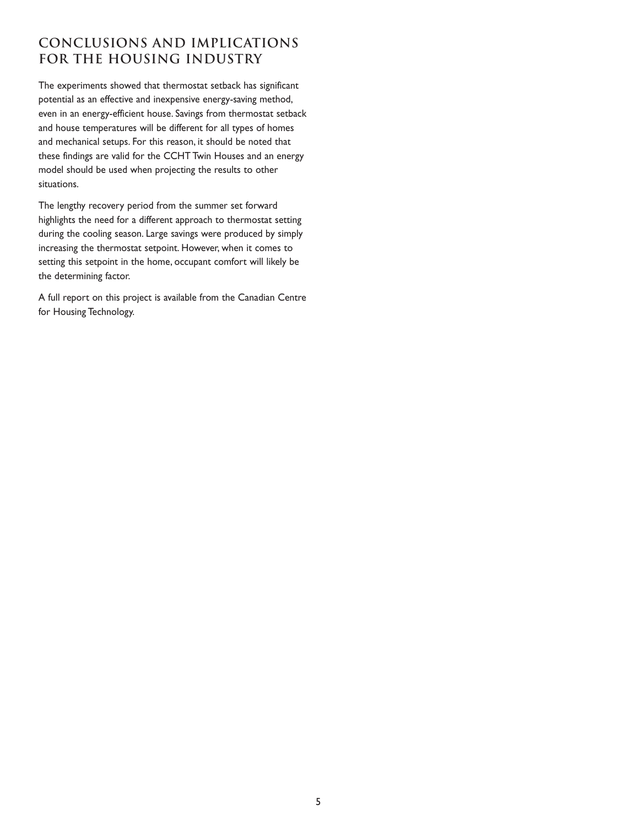# **Conclusions and implications for the housing industry**

The experiments showed that thermostat setback has significant potential as an effective and inexpensive energy-saving method, even in an energy-efficient house. Savings from thermostat setback and house temperatures will be different for all types of homes and mechanical setups. For this reason, it should be noted that these findings are valid for the CCHT Twin Houses and an energy model should be used when projecting the results to other situations.

The lengthy recovery period from the summer set forward highlights the need for a different approach to thermostat setting during the cooling season. Large savings were produced by simply increasing the thermostat setpoint. However, when it comes to setting this setpoint in the home, occupant comfort will likely be the determining factor.

A full report on this project is available from the Canadian Centre for Housing Technology.